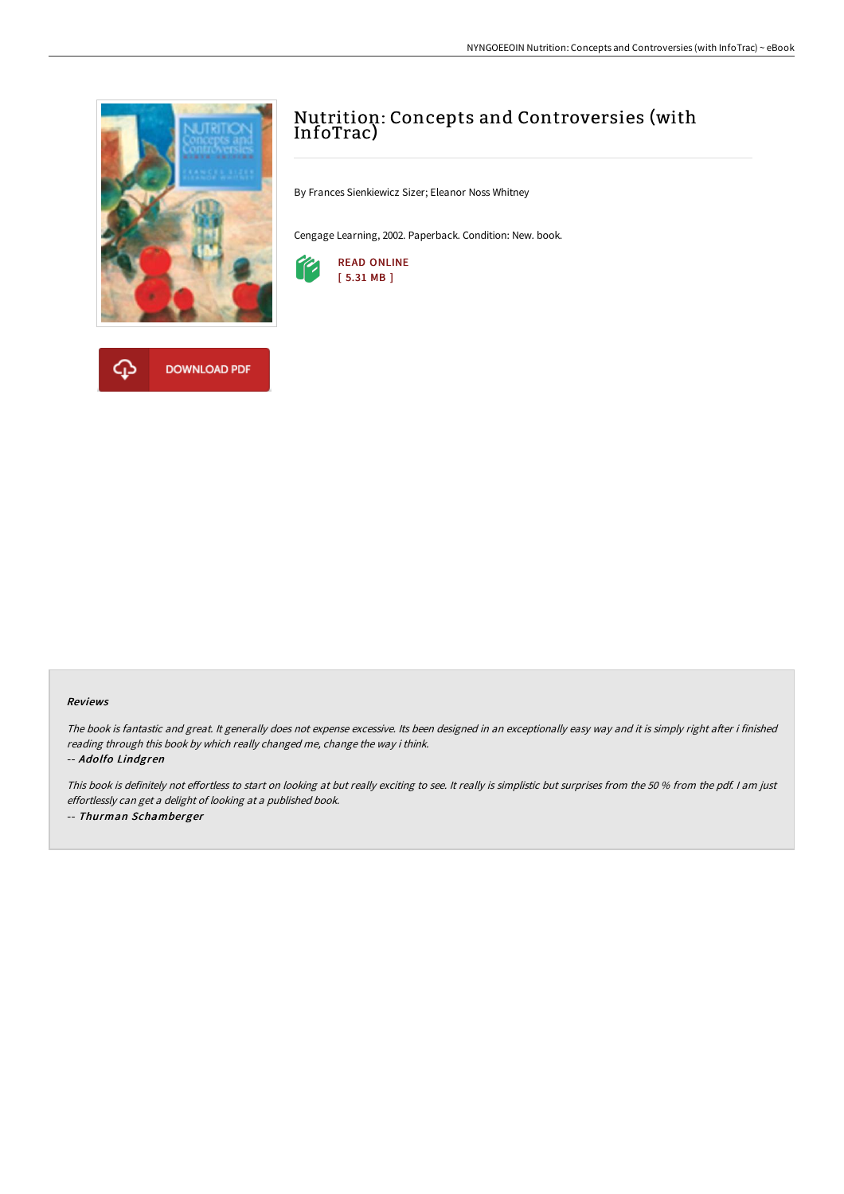



# Nutrition: Concepts and Controversies (with InfoTrac)

By Frances Sienkiewicz Sizer; Eleanor Noss Whitney

Cengage Learning, 2002. Paperback. Condition: New. book.



#### Reviews

The book is fantastic and great. It generally does not expense excessive. Its been designed in an exceptionally easy way and it is simply right after i finished reading through this book by which really changed me, change the way i think. -- Adolfo Lindgren

This book is definitely not effortless to start on looking at but really exciting to see. It really is simplistic but surprises from the 50 % from the pdf. I am just effortlessly can get <sup>a</sup> delight of looking at <sup>a</sup> published book. -- Thurman Schamberger